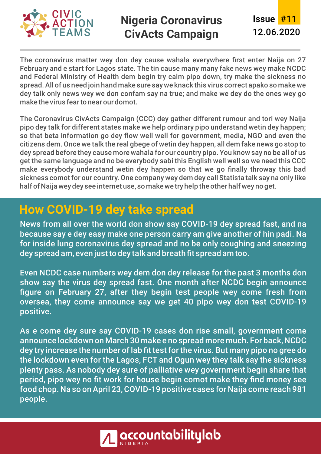

### **Nigeria Coronavirus CivActs Campaign** 12.06.2020

Issue #11

The coronavirus matter wey don dey cause wahala everywhere first enter Naija on 27 February and e start for Lagos state. The tin cause many many fake news wey make NCDC and Federal Ministry of Health dem begin try calm pipo down, try make the sickness no spread. All of us need join hand make sure say we knack this virus correct apako so make we dey talk only news wey we don confam say na true; and make we dey do the ones wey go make the virus fear to near our domot.

The Coronavirus CivActs Campaign (CCC) dey gather different rumour and tori wey Naija pipo dey talk for different states make we help ordinary pipo understand wetin dey happen; so that beta information go dey flow well well for government, media, NGO and even the citizens dem. Once we talk the real gbege of wetin dey happen, all dem fake news go stop to dey spread before they cause more wahala for our country pipo. You know say no be all of us get the same language and no be everybody sabi this English well well so we need this CCC make everybody understand wetin dey happen so that we go finally throway this bad sickness comot for our country. One company wey dem dey call Statista talk say na only like half of Naija wey dey see internet use, so make we try help the other half wey no get.

# **How COVID-19 dey take spread**

News from all over the world don show say COVID-19 dey spread fast, and na because say e dey easy make one person carry am give another of hin padi. Na for inside lung coronavirus dey spread and no be only coughing and sneezing dey spread am, even just to dey talk and breath fit spread am too.

Even NCDC case numbers wey dem don dey release for the past 3 months don show say the virus dey spread fast. One month after NCDC begin announce figure on February 27, after they begin test people wey come fresh from oversea, they come announce say we get 40 pipo wey don test COVID-19 positive.

As e come dey sure say COVID-19 cases don rise small, government come announce lockdown on March 30 make e no spread more much. For back, NCDC dey try increase the number of lab fit test for the virus. But many pipo no gree do the lockdown even for the Lagos, FCT and Ogun wey they talk say the sickness plenty pass. As nobody dey sure of palliative wey government begin share that period, pipo wey no fit work for house begin comot make they find money see food chop. Na so on April 23, COVID-19 positive cases for Naija come reach 981 people.

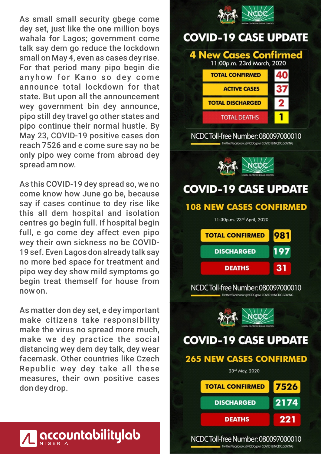As small small security gbege come dey set, just like the one million boys wahala for Lagos; government come talk say dem go reduce the lockdown small on May 4, even as cases dey rise. For that period many pipo begin die anyhow for Kano so dey come announce total lockdown for that state. But upon all the announcement wey government bin dey announce, pipo still dey travel go other states and pipo continue their normal hustle. By May 23, COVID-19 positive cases don reach 7526 and e come sure say no be only pipo wey come from abroad dey spread am now.

As this COVID-19 dey spread so, we no come know how June go be, because say if cases continue to dey rise like this all dem hospital and isolation centres go begin full. If hospital begin full, e go come dey affect even pipo wey their own sickness no be COVID-19 sef. Even Lagos don already talk say no more bed space for treatment and pipo wey dey show mild symptoms go begin treat themself for house from now on.

As matter don dey set, e dey important make citizens take responsibility make the virus no spread more much, make we dey practice the social distancing wey dem dey talk, dey wear facemask. Other countries like Czech Republic wey dey take all these measures, their own positive cases don dey drop.



# accountabilitylab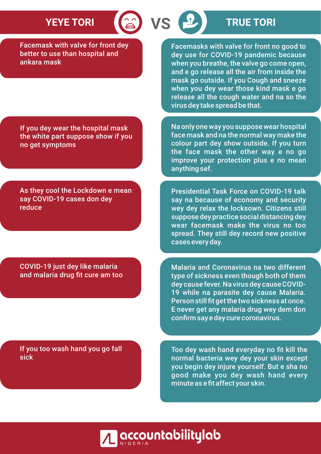Facemask with valve for front dey better to use than hospital and ankara mask

Facemasks with valve for front no good to dey use for COVID-19 pandemic because when you breathe, the valve go come open, and e go release all the air from inside the mask go outside. If you Cough and sneeze when you dey wear those kind mask e go release all the cough water and na so the virus dey take spread be that.

If you dey wear the hospital mask the white part suppose show if you no get symptoms

As they cool the Lockdown e mean say COVID-19 cases don dey reduce

COVID-19 just dey like malaria and malaria drug fit cure am too

If you too wash hand you go fall sick

face mask and na the normal way make the colour part dey show outside. If you turn the face mask the other way e no go improve your protection plus e no mean anything sef.

Na only one way you suppose wear hospital

Presidential Task Force on COVID-19 talk say na because of economy and security wey dey relax the locksown. Citizens still suppose dey practice social distancing dey wear facemask make the virus no too spread. They still dey record new positive cases every day.

Malaria and Coronavirus na two different type of sickness even though both of them dey cause fever. Na virus dey cause COVID-19 while na parasite dey cause Malaria. Person still fit get the two sickness at once. E never get any malaria drug wey dem don confirm say e dey cure coronavirus.

Too dey wash hand everyday no fit kill the normal bacteria wey dey your skin except you begin dey injure yourself. But e sha no good make you dey wash hand every minute as e fit affect your skin.



# **YEYE TORI (2) VS (2)** TRUE TORI